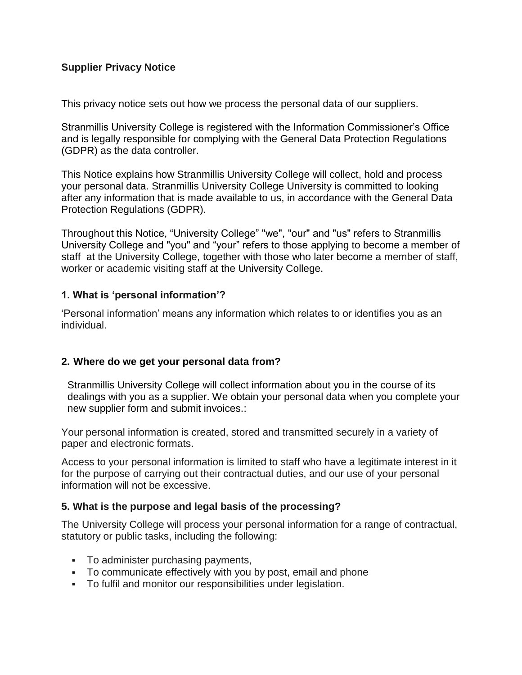## **Supplier Privacy Notice**

This privacy notice sets out how we process the personal data of our suppliers.

Stranmillis University College is registered with the Information Commissioner's Office and is legally responsible for complying with the General Data Protection Regulations (GDPR) as the data controller.

This Notice explains how Stranmillis University College will collect, hold and process your personal data. Stranmillis University College University is committed to looking after any information that is made available to us, in accordance with the General Data Protection Regulations (GDPR).

Throughout this Notice, "University College" "we", "our" and "us" refers to Stranmillis University College and "you" and "your" refers to those applying to become a member of staff at the University College, together with those who later become a member of staff, worker or academic visiting staff at the University College.

### **1. What is 'personal information'?**

'Personal information' means any information which relates to or identifies you as an individual.

### **2. Where do we get your personal data from?**

Stranmillis University College will collect information about you in the course of its dealings with you as a supplier. We obtain your personal data when you complete your new supplier form and submit invoices.:

Your personal information is created, stored and transmitted securely in a variety of paper and electronic formats.

Access to your personal information is limited to staff who have a legitimate interest in it for the purpose of carrying out their contractual duties, and our use of your personal information will not be excessive.

### **5. What is the purpose and legal basis of the processing?**

The University College will process your personal information for a range of contractual, statutory or public tasks, including the following:

- To administer purchasing payments,
- To communicate effectively with you by post, email and phone
- To fulfil and monitor our responsibilities under legislation.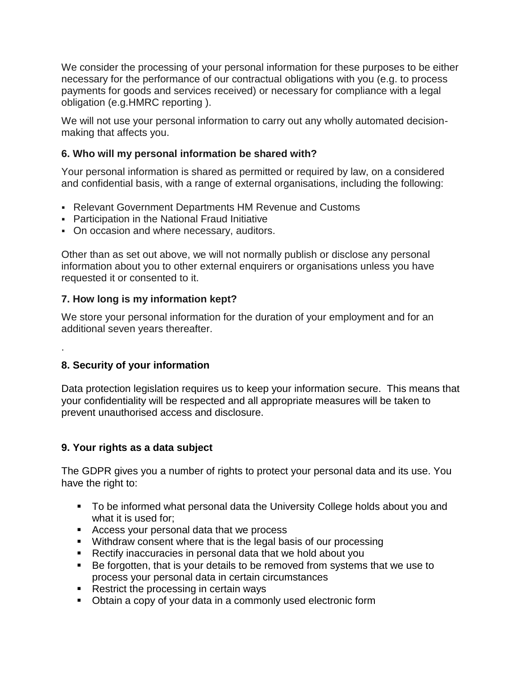We consider the processing of your personal information for these purposes to be either necessary for the performance of our contractual obligations with you (e.g. to process payments for goods and services received) or necessary for compliance with a legal obligation (e.g.HMRC reporting ).

We will not use your personal information to carry out any wholly automated decisionmaking that affects you.

## **6. Who will my personal information be shared with?**

Your personal information is shared as permitted or required by law, on a considered and confidential basis, with a range of external organisations, including the following:

- Relevant Government Departments HM Revenue and Customs
- Participation in the National Fraud Initiative
- On occasion and where necessary, auditors.

Other than as set out above, we will not normally publish or disclose any personal information about you to other external enquirers or organisations unless you have requested it or consented to it.

# **7. How long is my information kept?**

We store your personal information for the duration of your employment and for an additional seven years thereafter.

# **8. Security of your information**

.

Data protection legislation requires us to keep your information secure. This means that your confidentiality will be respected and all appropriate measures will be taken to prevent unauthorised access and disclosure.

## **9. Your rights as a data subject**

The GDPR gives you a number of rights to protect your personal data and its use. You have the right to:

- To be informed what personal data the University College holds about you and what it is used for;
- Access your personal data that we process
- Withdraw consent where that is the legal basis of our processing
- Rectify inaccuracies in personal data that we hold about you
- Be forgotten, that is your details to be removed from systems that we use to process your personal data in certain circumstances
- Restrict the processing in certain ways
- Obtain a copy of your data in a commonly used electronic form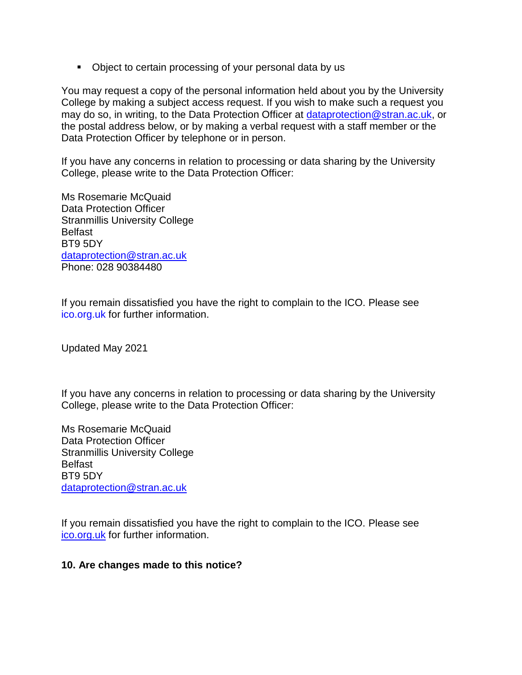• Object to certain processing of your personal data by us

You may request a copy of the personal information held about you by the University College by making a subject access request. If you wish to make such a request you may do so, in writing, to the Data Protection Officer at [dataprotection@stran.ac.uk,](mailto:dataprotection@stran.ac.uk) or the postal address below, or by making a verbal request with a staff member or the Data Protection Officer by telephone or in person.

If you have any concerns in relation to processing or data sharing by the University College, please write to the Data Protection Officer:

Ms Rosemarie McQuaid Data Protection Officer Stranmillis University College Belfast BT9 5DY [dataprotection@stran.ac.uk](mailto:dataprotection@stran.ac.uk) Phone: 028 90384480

If you remain dissatisfied you have the right to complain to the ICO. Please see [ico.org.uk](https://ico.org.uk/) for further information.

Updated May 2021

If you have any concerns in relation to processing or data sharing by the University College, please write to the Data Protection Officer:

Ms Rosemarie McQuaid Data Protection Officer Stranmillis University College Belfast BT9 5DY [dataprotection@stran.ac.uk](mailto:dataprotection@stran.ac.uk)

If you remain dissatisfied you have the right to complain to the ICO. Please see [ico.org.uk](https://ico.org.uk/) for further information.

#### **10. Are changes made to this notice?**